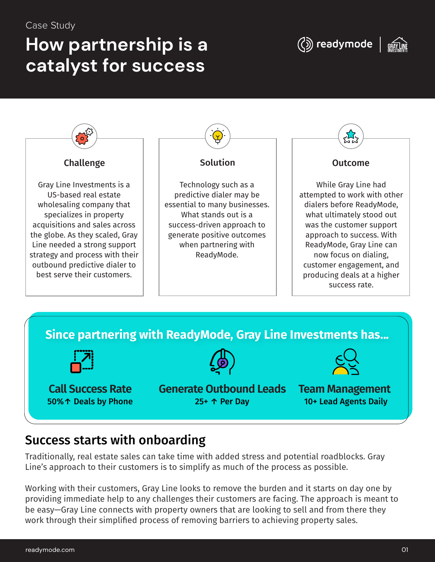#### Case Study

# **How partnership is a catalyst for success**







### Success starts with onboarding

Traditionally, real estate sales can take time with added stress and potential roadblocks. Gray Line's approach to their customers is to simplify as much of the process as possible.

Working with their customers, Gray Line looks to remove the burden and it starts on day one by providing immediate help to any challenges their customers are facing. The approach is meant to be easy—Gray Line connects with property owners that are looking to sell and from there they work through their simplified process of removing barriers to achieving property sales.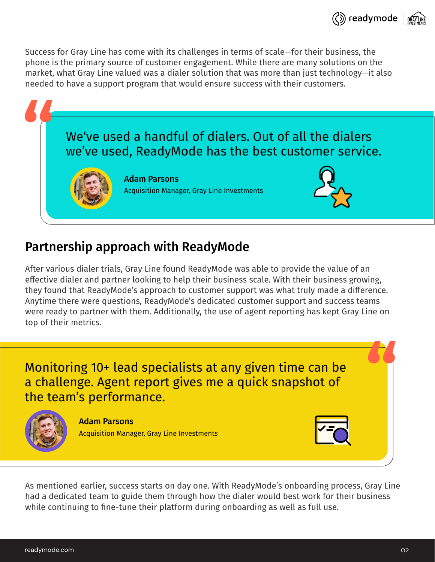Success for Gray Line has come with its challenges in terms of scale—for their business, the phone is the primary source of customer engagement. While there are many solutions on the market, what Gray Line valued was a dialer solution that was more than just technology—it also needed to have a support program that would ensure success with their customers.



## Partnership approach with ReadyMode

Ater various dialer trials, Gray Line found ReadyMode was able to provide the value of an effective dialer and partner looking to help their business scale. With their business growing, they found that ReadyMode's approach to customer support was what truly made a difference. Anytime there were questions, ReadyMode's dedicated customer support and success teams were ready to partner with them. Additionally, the use of agent reporting has kept Gray Line on top of their metrics.

Monitoring 10+ lead specialists at any given time can be a challenge. Agent report gives me a quick snapshot of the team's performance.



Adam Parsons Acquisition Manager, Gray Line Investments



As mentioned earlier, success starts on day one. With ReadyMode's onboarding process, Gray Line had a dedicated team to guide them through how the dialer would best work for their business while continuing to fine-tune their platform during onboarding as well as full use.